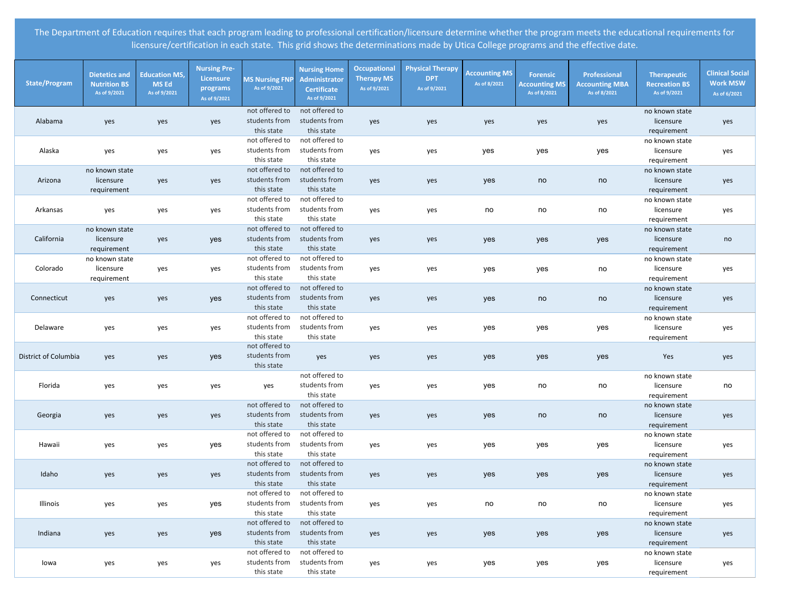| <b>State/Program</b> | <b>Dietetics and</b><br><b>Nutrition BS</b><br>As of 9/2021 | <b>Education MS,</b><br><b>MS Ed</b><br>As of 9/2021 | <b>Nursing Pre-</b><br>Licensure<br>programs<br>As of 9/2021 | <b>MS Nursing FNP</b><br>As of 9/2021         | <b>Nursing Home</b><br>Administrator<br><b>Certificate</b><br>As of 9/2021 | <b>Occupational</b><br><b>Therapy MS</b><br>As of 9/2021 | <b>Physical Therapy</b><br><b>DPT</b><br>As of 9/2021 | <b>Accounting MS</b><br>As of 8/2021 | <b>Forensic</b><br><b>Accounting MS</b><br>As of 8/2021 | Professional<br><b>Accounting MBA</b><br>As of 8/2021 | Therapeutic<br><b>Recreation BS</b><br>As of 9/2021 | <b>Clinical Social</b><br><b>Work MSW</b><br>As of 6/2021 |
|----------------------|-------------------------------------------------------------|------------------------------------------------------|--------------------------------------------------------------|-----------------------------------------------|----------------------------------------------------------------------------|----------------------------------------------------------|-------------------------------------------------------|--------------------------------------|---------------------------------------------------------|-------------------------------------------------------|-----------------------------------------------------|-----------------------------------------------------------|
| Alabama              | yes                                                         | yes                                                  | yes                                                          | not offered to<br>students from<br>this state | not offered to<br>students from<br>this state                              | yes                                                      | yes                                                   | yes                                  | yes                                                     | yes                                                   | no known state<br>licensure<br>requirement          | yes                                                       |
| Alaska               | yes                                                         | yes                                                  | yes                                                          | not offered to<br>students from<br>this state | not offered to<br>students from<br>this state                              | yes                                                      | yes                                                   | yes                                  | yes                                                     | yes                                                   | no known state<br>licensure<br>requirement          | yes                                                       |
| Arizona              | no known state<br>licensure<br>requirement                  | yes                                                  | yes                                                          | not offered to<br>students from<br>this state | not offered to<br>students from<br>this state                              | yes                                                      | yes                                                   | yes                                  | no                                                      | no                                                    | no known state<br>licensure<br>requirement          | yes                                                       |
| Arkansas             | yes                                                         | yes                                                  | yes                                                          | not offered to<br>students from<br>this state | not offered to<br>students from<br>this state                              | yes                                                      | yes                                                   | no                                   | no                                                      | no                                                    | no known state<br>licensure<br>requirement          | yes                                                       |
| California           | no known state<br>licensure<br>requirement                  | yes                                                  | yes                                                          | not offered to<br>students from<br>this state | not offered to<br>students from<br>this state                              | yes                                                      | yes                                                   | yes                                  | yes                                                     | yes                                                   | no known state<br>licensure<br>requirement          | no                                                        |
| Colorado             | no known state<br>licensure<br>requirement                  | yes                                                  | yes                                                          | not offered to<br>students from<br>this state | not offered to<br>students from<br>this state                              | yes                                                      | yes                                                   | yes                                  | yes                                                     | no                                                    | no known state<br>licensure<br>requirement          | yes                                                       |
| Connecticut          | yes                                                         | yes                                                  | yes                                                          | not offered to<br>students from<br>this state | not offered to<br>students from<br>this state                              | yes                                                      | yes                                                   | yes                                  | no                                                      | no                                                    | no known state<br>licensure<br>requirement          | yes                                                       |
| Delaware             | yes                                                         | yes                                                  | yes                                                          | not offered to<br>students from<br>this state | not offered to<br>students from<br>this state                              | yes                                                      | yes                                                   | yes                                  | yes                                                     | yes                                                   | no known state<br>licensure<br>requirement          | yes                                                       |
| District of Columbia | yes                                                         | yes                                                  | yes                                                          | not offered to<br>students from<br>this state | yes                                                                        | yes                                                      | yes                                                   | yes                                  | yes                                                     | yes                                                   | Yes                                                 | yes                                                       |
| Florida              | yes                                                         | yes                                                  | yes                                                          | yes                                           | not offered to<br>students from<br>this state                              | yes                                                      | yes                                                   | yes                                  | no                                                      | no                                                    | no known state<br>licensure<br>requirement          | no                                                        |
| Georgia              | yes                                                         | yes                                                  | yes                                                          | not offered to<br>students from<br>this state | not offered to<br>students from<br>this state                              | yes                                                      | yes                                                   | yes                                  | no                                                      | no                                                    | no known state<br>licensure<br>requirement          | yes                                                       |
| Hawaii               | yes                                                         | yes                                                  | yes                                                          | not offered to<br>students from<br>this state | not offered to<br>students from<br>this state                              | yes                                                      | yes                                                   | yes                                  | yes                                                     | yes                                                   | no known state<br>licensure<br>requirement          | yes                                                       |
| Idaho                | yes                                                         | yes                                                  | yes                                                          | not offered to<br>students from<br>this state | not offered to<br>students from<br>this state                              | yes                                                      | yes                                                   | yes                                  | yes                                                     | yes                                                   | no known state<br>licensure<br>requirement          | yes                                                       |
| Illinois             | yes                                                         | yes                                                  | yes                                                          | not offered to<br>students from<br>this state | not offered to<br>students from<br>this state                              | yes                                                      | yes                                                   | no                                   | no                                                      | no                                                    | no known state<br>licensure<br>requirement          | yes                                                       |
| Indiana              | yes                                                         | yes                                                  | yes                                                          | not offered to<br>students from<br>this state | not offered to<br>students from<br>this state                              | yes                                                      | yes                                                   | yes                                  | yes                                                     | yes                                                   | no known state<br>licensure<br>requirement          | yes                                                       |
| lowa                 | yes                                                         | yes                                                  | yes                                                          | not offered to<br>students from<br>this state | not offered to<br>students from<br>this state                              | yes                                                      | yes                                                   | yes                                  | yes                                                     | yes                                                   | no known state<br>licensure<br>requirement          | yes                                                       |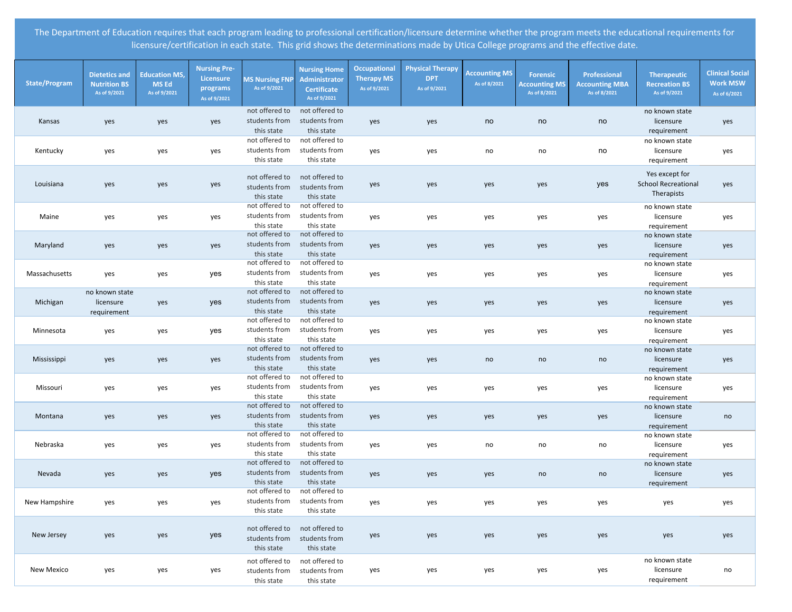| <b>State/Program</b> | <b>Dietetics and</b><br><b>Nutrition BS</b><br>As of 9/2021 | <b>Education MS,</b><br><b>MS Ed</b><br>As of 9/2021 | <b>Nursing Pre-</b><br>Licensure<br>programs<br>As of 9/2021 | <b>MS Nursing FNP</b><br>As of 9/2021         | <b>Nursing Home</b><br><b>Administrator</b><br><b>Certificate</b><br>As of 9/2021 | <b>Occupational</b><br><b>Therapy MS</b><br>As of 9/2021 | <b>Physical Therapy</b><br><b>DPT</b><br>As of 9/2021 | <b>Accounting MS</b><br>As of 8/2021 | <b>Forensic</b><br><b>Accounting MS</b><br>As of 8/2021 | Professional<br><b>Accounting MBA</b><br>As of 8/2021 | <b>Therapeutic</b><br><b>Recreation BS</b><br>As of 9/2021 | <b>Clinical Social</b><br><b>Work MSW</b><br>As of 6/2021 |
|----------------------|-------------------------------------------------------------|------------------------------------------------------|--------------------------------------------------------------|-----------------------------------------------|-----------------------------------------------------------------------------------|----------------------------------------------------------|-------------------------------------------------------|--------------------------------------|---------------------------------------------------------|-------------------------------------------------------|------------------------------------------------------------|-----------------------------------------------------------|
| Kansas               | yes                                                         | yes                                                  | yes                                                          | not offered to<br>students from<br>this state | not offered to<br>students from<br>this state                                     | yes                                                      | yes                                                   | no                                   | no                                                      | no                                                    | no known state<br>licensure<br>requirement                 | yes                                                       |
| Kentucky             | yes                                                         | yes                                                  | yes                                                          | not offered to<br>students from<br>this state | not offered to<br>students from<br>this state                                     | yes                                                      | yes                                                   | no                                   | no                                                      | no                                                    | no known state<br>licensure<br>requirement                 | yes                                                       |
| Louisiana            | yes                                                         | yes                                                  | yes                                                          | not offered to<br>students from<br>this state | not offered to<br>students from<br>this state                                     | yes                                                      | yes                                                   | yes                                  | yes                                                     | yes                                                   | Yes except for<br><b>School Recreational</b><br>Therapists | yes                                                       |
| Maine                | yes                                                         | yes                                                  | yes                                                          | not offered to<br>students from<br>this state | not offered to<br>students from<br>this state                                     | yes                                                      | yes                                                   | yes                                  | yes                                                     | yes                                                   | no known state<br>licensure<br>requirement                 | yes                                                       |
| Maryland             | yes                                                         | yes                                                  | yes                                                          | not offered to<br>students from<br>this state | not offered to<br>students from<br>this state                                     | yes                                                      | yes                                                   | yes                                  | yes                                                     | yes                                                   | no known state<br>licensure<br>requirement                 | yes                                                       |
| Massachusetts        | yes                                                         | yes                                                  | yes                                                          | not offered to<br>students from<br>this state | not offered to<br>students from<br>this state                                     | yes                                                      | yes                                                   | yes                                  | yes                                                     | yes                                                   | no known state<br>licensure<br>requirement                 | yes                                                       |
| Michigan             | no known state<br>licensure<br>requirement                  | yes                                                  | yes                                                          | not offered to<br>students from<br>this state | not offered to<br>students from<br>this state                                     | yes                                                      | yes                                                   | yes                                  | yes                                                     | yes                                                   | no known state<br>licensure<br>requirement                 | yes                                                       |
| Minnesota            | yes                                                         | yes                                                  | yes                                                          | not offered to<br>students from<br>this state | not offered to<br>students from<br>this state                                     | yes                                                      | yes                                                   | yes                                  | yes                                                     | yes                                                   | no known state<br>licensure<br>requirement                 | yes                                                       |
| Mississippi          | yes                                                         | yes                                                  | yes                                                          | not offered to<br>students from<br>this state | not offered to<br>students from<br>this state                                     | yes                                                      | yes                                                   | no                                   | no                                                      | no                                                    | no known state<br>licensure<br>requirement                 | yes                                                       |
| Missouri             | yes                                                         | yes                                                  | yes                                                          | not offered to<br>students from<br>this state | not offered to<br>students from<br>this state                                     | yes                                                      | yes                                                   | yes                                  | yes                                                     | yes                                                   | no known state<br>licensure<br>requirement                 | yes                                                       |
| Montana              | yes                                                         | yes                                                  | yes                                                          | not offered to<br>students from<br>this state | not offered to<br>students from<br>this state                                     | yes                                                      | yes                                                   | yes                                  | yes                                                     | yes                                                   | no known state<br>licensure<br>requirement                 | no                                                        |
| Nebraska             | yes                                                         | yes                                                  | yes                                                          | not offered to<br>students from<br>this state | not offered to<br>students from<br>this state                                     | yes                                                      | yes                                                   | no                                   | no                                                      | no                                                    | no known state<br>licensure<br>requirement                 | yes                                                       |
| Nevada               | yes                                                         | yes                                                  | yes                                                          | not offered to<br>students from<br>this state | not offered to<br>students from<br>this state                                     | yes                                                      | yes                                                   | yes                                  | no                                                      | no                                                    | no known state<br>licensure<br>requirement                 | yes                                                       |
| New Hampshire        | yes                                                         | yes                                                  | yes                                                          | not offered to<br>students from<br>this state | not offered to<br>students from<br>this state                                     | yes                                                      | yes                                                   | yes                                  | yes                                                     | yes                                                   | yes                                                        | yes                                                       |
| New Jersey           | yes                                                         | yes                                                  | yes                                                          | not offered to<br>students from<br>this state | not offered to<br>students from<br>this state                                     | yes                                                      | yes                                                   | yes                                  | yes                                                     | yes                                                   | yes                                                        | yes                                                       |
| New Mexico           | yes                                                         | yes                                                  | yes                                                          | not offered to<br>students from<br>this state | not offered to<br>students from<br>this state                                     | yes                                                      | yes                                                   | yes                                  | yes                                                     | yes                                                   | no known state<br>licensure<br>requirement                 | no                                                        |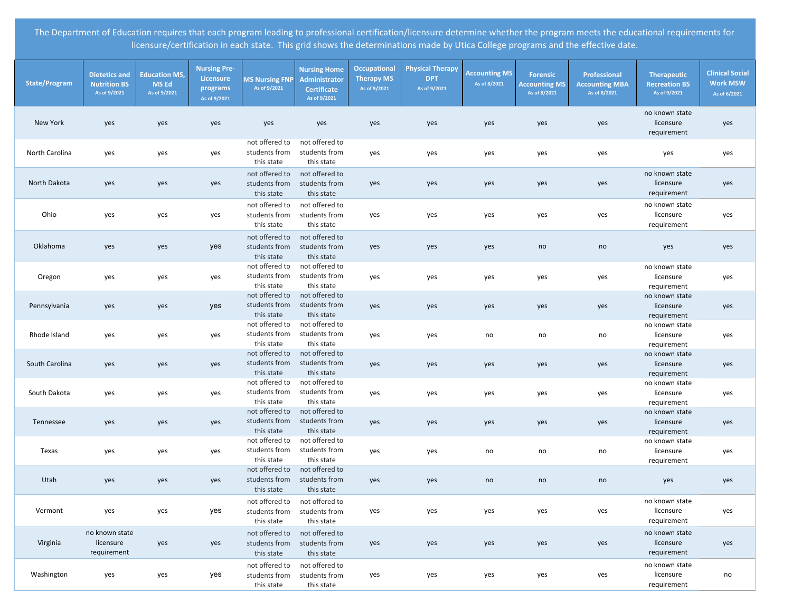| <b>State/Program</b> | <b>Dietetics and</b><br><b>Nutrition BS</b><br>As of 9/2021 | <b>Education MS,</b><br><b>MS Ed</b><br>As of 9/2021 | <b>Nursing Pre-</b><br>Licensure<br>programs<br>As of 9/2021 | <b>MS Nursing FNP</b><br>As of 9/2021         | <b>Nursing Home</b><br>Administrator<br><b>Certificate</b><br>As of 9/2021 | Occupational<br><b>Therapy MS</b><br>As of 9/2021 | <b>Physical Therapy</b><br><b>DPT</b><br>As of 9/2021 | <b>Accounting MS</b><br>As of 8/2021 | <b>Forensic</b><br><b>Accounting MS</b><br>As of 8/2021 | <b>Professional</b><br><b>Accounting MBA</b><br>As of 8/2021 | <b>Therapeutic</b><br><b>Recreation BS</b><br>As of 9/2021 | <b>Clinical Social</b><br><b>Work MSW</b><br>As of 6/2021 |
|----------------------|-------------------------------------------------------------|------------------------------------------------------|--------------------------------------------------------------|-----------------------------------------------|----------------------------------------------------------------------------|---------------------------------------------------|-------------------------------------------------------|--------------------------------------|---------------------------------------------------------|--------------------------------------------------------------|------------------------------------------------------------|-----------------------------------------------------------|
| <b>New York</b>      | yes                                                         | yes                                                  | yes                                                          | yes                                           | yes                                                                        | yes                                               | yes                                                   | yes                                  | yes                                                     | yes                                                          | no known state<br>licensure<br>requirement                 | yes                                                       |
| North Carolina       | yes                                                         | yes                                                  | yes                                                          | not offered to<br>students from<br>this state | not offered to<br>students from<br>this state                              | yes                                               | yes                                                   | yes                                  | yes                                                     | yes                                                          | yes                                                        | yes                                                       |
| North Dakota         | yes                                                         | yes                                                  | yes                                                          | not offered to<br>students from<br>this state | not offered to<br>students from<br>this state                              | yes                                               | yes                                                   | yes                                  | yes                                                     | yes                                                          | no known state<br>licensure<br>requirement                 | yes                                                       |
| Ohio                 | yes                                                         | yes                                                  | yes                                                          | not offered to<br>students from<br>this state | not offered to<br>students from<br>this state                              | yes                                               | yes                                                   | yes                                  | yes                                                     | yes                                                          | no known state<br>licensure<br>requirement                 | yes                                                       |
| Oklahoma             | yes                                                         | yes                                                  | yes                                                          | not offered to<br>students from<br>this state | not offered to<br>students from<br>this state                              | yes                                               | yes                                                   | yes                                  | no                                                      | no                                                           | yes                                                        | yes                                                       |
| Oregon               | yes                                                         | yes                                                  | yes                                                          | not offered to<br>students from<br>this state | not offered to<br>students from<br>this state                              | yes                                               | yes                                                   | yes                                  | yes                                                     | yes                                                          | no known state<br>licensure<br>requirement                 | yes                                                       |
| Pennsylvania         | yes                                                         | yes                                                  | yes                                                          | not offered to<br>students from<br>this state | not offered to<br>students from<br>this state                              | yes                                               | yes                                                   | yes                                  | yes                                                     | yes                                                          | no known state<br>licensure<br>requirement                 | yes                                                       |
| Rhode Island         | yes                                                         | yes                                                  | yes                                                          | not offered to<br>students from<br>this state | not offered to<br>students from<br>this state                              | yes                                               | yes                                                   | no                                   | no                                                      | no                                                           | no known state<br>licensure<br>requirement                 | yes                                                       |
| South Carolina       | yes                                                         | yes                                                  | yes                                                          | not offered to<br>students from<br>this state | not offered to<br>students from<br>this state                              | yes                                               | yes                                                   | yes                                  | yes                                                     | yes                                                          | no known state<br>licensure<br>requirement                 | yes                                                       |
| South Dakota         | yes                                                         | yes                                                  | yes                                                          | not offered to<br>students from<br>this state | not offered to<br>students from<br>this state                              | yes                                               | yes                                                   | yes                                  | yes                                                     | yes                                                          | no known state<br>licensure<br>requirement                 | yes                                                       |
| Tennessee            | yes                                                         | yes                                                  | yes                                                          | not offered to<br>students from<br>this state | not offered to<br>students from<br>this state                              | yes                                               | yes                                                   | yes                                  | yes                                                     | yes                                                          | no known state<br>licensure<br>requirement                 | yes                                                       |
| Texas                | yes                                                         | yes                                                  | yes                                                          | not offered to<br>students from<br>this state | not offered to<br>students from<br>this state                              | yes                                               | yes                                                   | no                                   | no                                                      | no                                                           | no known state<br>licensure<br>requirement                 | yes                                                       |
| Utah                 | yes                                                         | yes                                                  | yes                                                          | not offered to<br>students from<br>this state | not offered to<br>students from<br>this state                              | yes                                               | yes                                                   | no                                   | no                                                      | no                                                           | yes                                                        | yes                                                       |
| Vermont              | yes                                                         | yes                                                  | yes                                                          | not offered to<br>students from<br>this state | not offered to<br>students from<br>this state                              | yes                                               | yes                                                   | yes                                  | yes                                                     | yes                                                          | no known state<br>licensure<br>requirement                 | yes                                                       |
| Virginia             | no known state<br>licensure<br>requirement                  | yes                                                  | yes                                                          | not offered to<br>students from<br>this state | not offered to<br>students from<br>this state                              | yes                                               | yes                                                   | yes                                  | yes                                                     | yes                                                          | no known state<br>licensure<br>requirement                 | yes                                                       |
| Washington           | yes                                                         | yes                                                  | yes                                                          | not offered to<br>students from<br>this state | not offered to<br>students from<br>this state                              | yes                                               | yes                                                   | yes                                  | yes                                                     | yes                                                          | no known state<br>licensure<br>requirement                 | no                                                        |